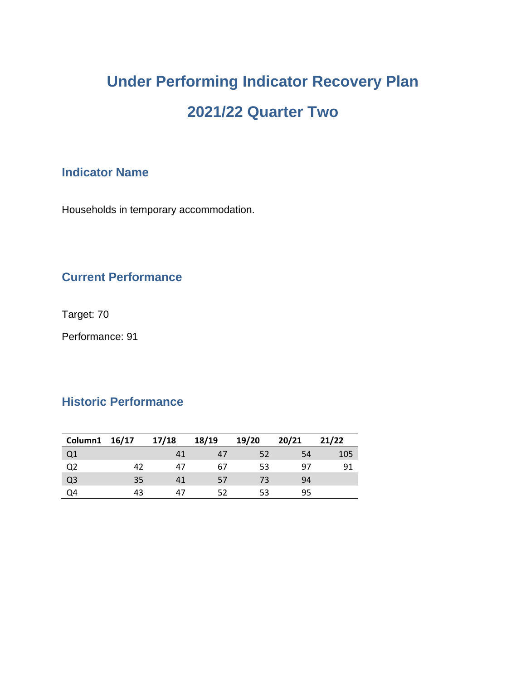# **Under Performing Indicator Recovery Plan 2021/22 Quarter Two**

### **Indicator Name**

Households in temporary accommodation.

## **Current Performance**

Target: 70

Performance: 91

### **Historic Performance**

| Column1 16/17  |    | 17/18 | 18/19 | 19/20 | 20/21 | 21/22 |
|----------------|----|-------|-------|-------|-------|-------|
| Q <sub>1</sub> |    | 41    | 47    | 52    | 54    | 105   |
| Q <sub>2</sub> | 42 | 47    | 67    | 53    | 97    | 91    |
| Q <sub>3</sub> | 35 | 41    | 57    | 73    | 94    |       |
| Q4             | 43 | 47    | 52    | 53    | 95    |       |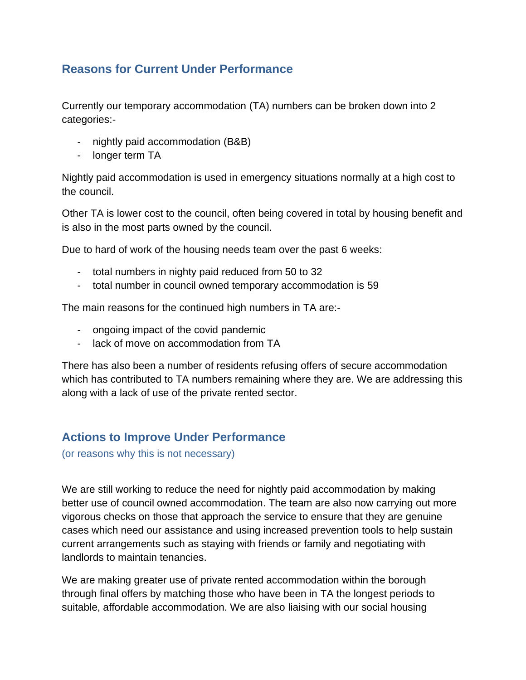### **Reasons for Current Under Performance**

Currently our temporary accommodation (TA) numbers can be broken down into 2 categories:-

- nightly paid accommodation (B&B)
- longer term TA

Nightly paid accommodation is used in emergency situations normally at a high cost to the council.

Other TA is lower cost to the council, often being covered in total by housing benefit and is also in the most parts owned by the council.

Due to hard of work of the housing needs team over the past 6 weeks:

- total numbers in nighty paid reduced from 50 to 32
- total number in council owned temporary accommodation is 59

The main reasons for the continued high numbers in TA are:-

- ongoing impact of the covid pandemic
- lack of move on accommodation from TA

There has also been a number of residents refusing offers of secure accommodation which has contributed to TA numbers remaining where they are. We are addressing this along with a lack of use of the private rented sector.

#### **Actions to Improve Under Performance**

(or reasons why this is not necessary)

We are still working to reduce the need for nightly paid accommodation by making better use of council owned accommodation. The team are also now carrying out more vigorous checks on those that approach the service to ensure that they are genuine cases which need our assistance and using increased prevention tools to help sustain current arrangements such as staying with friends or family and negotiating with landlords to maintain tenancies.

We are making greater use of private rented accommodation within the borough through final offers by matching those who have been in TA the longest periods to suitable, affordable accommodation. We are also liaising with our social housing